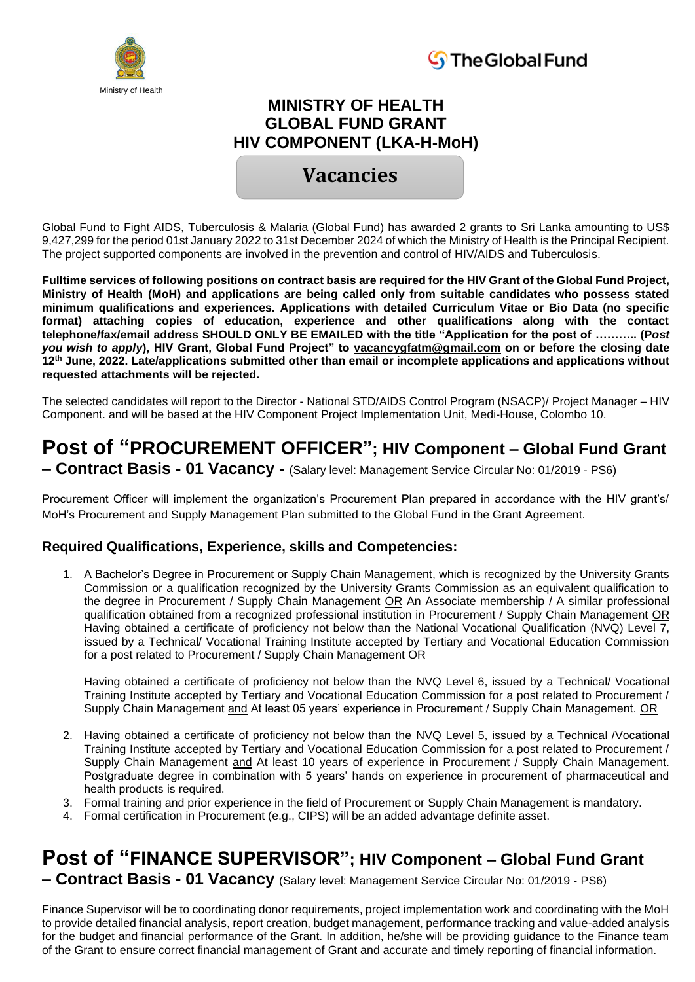



### **MINISTRY OF HEALTH GLOBAL FUND GRANT HIV COMPONENT (LKA-H-MoH)**

### **Vacancies**

Global Fund to Fight AIDS, Tuberculosis & Malaria (Global Fund) has awarded 2 grants to Sri Lanka amounting to US\$ 9,427,299 for the period 01st January 2022 to 31st December 2024 of which the Ministry of Health is the Principal Recipient. The project supported components are involved in the prevention and control of HIV/AIDS and Tuberculosis.

**Fulltime services of following positions on contract basis are required for the HIV Grant of the Global Fund Project, Ministry of Health (MoH) and applications are being called only from suitable candidates who possess stated minimum qualifications and experiences. Applications with detailed Curriculum Vitae or Bio Data (no specific format) attaching copies of education, experience and other qualifications along with the contact telephone/fax/email address SHOULD ONLY BE EMAILED with the title "Application for the post of ……….. (P***ost you wish to apply***), HIV Grant, Global Fund Project" to vacancygfatm@gmail.com on or before the closing date 12th June, 2022. Late/applications submitted other than email or incomplete applications and applications without requested attachments will be rejected.**

The selected candidates will report to the Director - National STD/AIDS Control Program (NSACP)/ Project Manager – HIV Component. and will be based at the HIV Component Project Implementation Unit, Medi-House, Colombo 10.

# **Post of "PROCUREMENT OFFICER"; HIV Component – Global Fund Grant**

**– Contract Basis - 01 Vacancy -** (Salary level: Management Service Circular No: 01/2019 - PS6)

Procurement Officer will implement the organization's Procurement Plan prepared in accordance with the HIV grant's/ MoH's Procurement and Supply Management Plan submitted to the Global Fund in the Grant Agreement.

#### **Required Qualifications, Experience, skills and Competencies:**

1. A Bachelor's Degree in Procurement or Supply Chain Management, which is recognized by the University Grants Commission or a qualification recognized by the University Grants Commission as an equivalent qualification to the degree in Procurement / Supply Chain Management OR An Associate membership / A similar professional qualification obtained from a recognized professional institution in Procurement / Supply Chain Management OR Having obtained a certificate of proficiency not below than the National Vocational Qualification (NVQ) Level 7, issued by a Technical/ Vocational Training Institute accepted by Tertiary and Vocational Education Commission for a post related to Procurement / Supply Chain Management OR

Having obtained a certificate of proficiency not below than the NVQ Level 6, issued by a Technical/ Vocational Training Institute accepted by Tertiary and Vocational Education Commission for a post related to Procurement / Supply Chain Management and At least 05 years' experience in Procurement / Supply Chain Management. OR

- 2. Having obtained a certificate of proficiency not below than the NVQ Level 5, issued by a Technical /Vocational Training Institute accepted by Tertiary and Vocational Education Commission for a post related to Procurement / Supply Chain Management and At least 10 years of experience in Procurement / Supply Chain Management. Postgraduate degree in combination with 5 years' hands on experience in procurement of pharmaceutical and health products is required.
- 3. Formal training and prior experience in the field of Procurement or Supply Chain Management is mandatory.
- 4. Formal certification in Procurement (e.g., CIPS) will be an added advantage definite asset.

## **Post of "FINANCE SUPERVISOR"; HIV Component – Global Fund Grant**

**– Contract Basis - 01 Vacancy** (Salary level: Management Service Circular No: 01/2019 - PS6)

Finance Supervisor will be to coordinating donor requirements, project implementation work and coordinating with the MoH to provide detailed financial analysis, report creation, budget management, performance tracking and value-added analysis for the budget and financial performance of the Grant. In addition, he/she will be providing guidance to the Finance team of the Grant to ensure correct financial management of Grant and accurate and timely reporting of financial information.